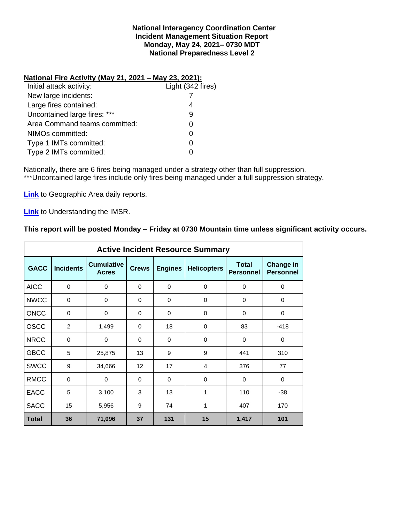### **National Interagency Coordination Center Incident Management Situation Report Monday, May 24, 2021– 0730 MDT National Preparedness Level 2**

### **National Fire Activity (May 21, 2021 – May 23, 2021):**

| Light (342 fires) |
|-------------------|
|                   |
| 4                 |
| 9                 |
|                   |
|                   |
|                   |
|                   |
|                   |

Nationally, there are 6 fires being managed under a strategy other than full suppression. \*\*\*Uncontained large fires include only fires being managed under a full suppression strategy.

**[Link](http://www.nifc.gov/nicc/predictive/statelinks.htm)** to Geographic Area daily reports.

**[Link](https://www.predictiveservices.nifc.gov/intelligence/Understanding%20the%20IMSR%202019.pdf)** to Understanding the IMSR.

## **This report will be posted Monday – Friday at 0730 Mountain time unless significant activity occurs.**

|              |                  |                                   |              |                | <b>Active Incident Resource Summary</b> |                                  |                                      |
|--------------|------------------|-----------------------------------|--------------|----------------|-----------------------------------------|----------------------------------|--------------------------------------|
| <b>GACC</b>  | <b>Incidents</b> | <b>Cumulative</b><br><b>Acres</b> | <b>Crews</b> | <b>Engines</b> | <b>Helicopters</b>                      | <b>Total</b><br><b>Personnel</b> | <b>Change in</b><br><b>Personnel</b> |
| <b>AICC</b>  | $\mathbf 0$      | $\mathbf 0$                       | $\Omega$     | 0              | $\mathbf 0$                             | 0                                | 0                                    |
| <b>NWCC</b>  | 0                | 0                                 | 0            | 0              | 0                                       | 0                                | 0                                    |
| <b>ONCC</b>  | $\Omega$         | $\mathbf 0$                       | $\Omega$     | $\Omega$       | $\Omega$                                | $\Omega$                         | $\Omega$                             |
| <b>OSCC</b>  | 2                | 1,499                             | $\Omega$     | 18             | $\mathbf 0$                             | 83                               | $-418$                               |
| <b>NRCC</b>  | $\mathbf 0$      | 0                                 | $\Omega$     | $\Omega$       | $\Omega$                                | 0                                | $\mathbf 0$                          |
| <b>GBCC</b>  | 5                | 25,875                            | 13           | 9              | 9                                       | 441                              | 310                                  |
| <b>SWCC</b>  | 9                | 34,666                            | 12           | 17             | 4                                       | 376                              | 77                                   |
| <b>RMCC</b>  | $\mathbf 0$      | $\Omega$                          | $\Omega$     | $\Omega$       | $\Omega$                                | $\Omega$                         | $\Omega$                             |
| <b>EACC</b>  | 5                | 3,100                             | 3            | 13             | 1                                       | 110                              | $-38$                                |
| <b>SACC</b>  | 15               | 5,956                             | 9            | 74             | 1                                       | 407                              | 170                                  |
| <b>Total</b> | 36               | 71,096                            | 37           | 131            | 15                                      | 1,417                            | 101                                  |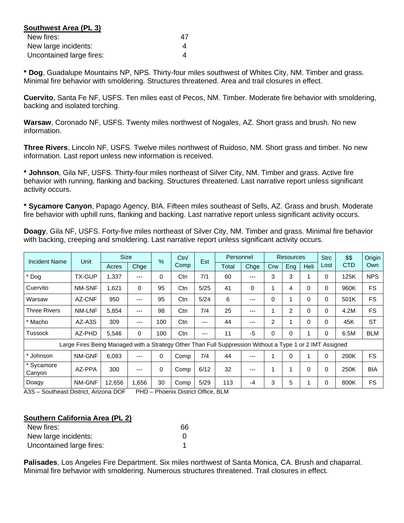| Southwest Area (PL 3)    |    |
|--------------------------|----|
| New fires:               | 47 |
| New large incidents:     |    |
| Uncontained large fires: |    |

**\* Dog**, Guadalupe Mountains NP, NPS. Thirty-four miles southwest of Whites City, NM. Timber and grass. Minimal fire behavior with smoldering. Structures threatened. Area and trail closures in effect.

**Cuervito**, Santa Fe NF, USFS. Ten miles east of Pecos, NM. Timber. Moderate fire behavior with smoldering, backing and isolated torching.

**Warsaw**, Coronado NF, USFS. Twenty miles northwest of Nogales, AZ. Short grass and brush. No new information.

**Three Rivers**, Lincoln NF, USFS. Twelve miles northwest of Ruidoso, NM. Short grass and timber. No new information. Last report unless new information is received.

**\* Johnson**, Gila NF, USFS. Thirty-four miles northeast of Silver City, NM. Timber and grass. Active fire behavior with running, flanking and backing. Structures threatened. Last narrative report unless significant activity occurs.

**\* Sycamore Canyon**, Papago Agency, BIA. Fifteen miles southeast of Sells, AZ. Grass and brush. Moderate fire behavior with uphill runs, flanking and backing. Last narrative report unless significant activity occurs.

**Doagy**, Gila NF, USFS. Forty-five miles northeast of Silver City, NM. Timber and grass. Minimal fire behavior with backing, creeping and smoldering. Last narrative report unless significant activity occurs.

| <b>Incident Name</b> | Unit                                                                                                     | <b>Size</b> |       | $\frac{6}{2}$ | Ctn/ | Est  |       | Personnel |                | <b>Resources</b> |      |          | \$\$       | Origin     |
|----------------------|----------------------------------------------------------------------------------------------------------|-------------|-------|---------------|------|------|-------|-----------|----------------|------------------|------|----------|------------|------------|
|                      |                                                                                                          | Acres       | Chge  |               | Comp |      | Total | Chge      | Crw            | Eng              | Heli | Lost     | <b>CTD</b> | Own        |
| Dog                  | <b>TX-GUP</b>                                                                                            | 1,337       | ---   | $\Omega$      | Ctn  | 7/1  | 60    | ---       | 3              | 3                |      | 0        | 125K       | <b>NPS</b> |
| Cuervito             | NM-SNF                                                                                                   | 1,621       | 0     | 95            | Ctn  | 5/25 | 41    | 0         |                | 4                | 0    | 0        | 960K       | <b>FS</b>  |
| Warsaw               | AZ-CNF                                                                                                   | 950         | ---   | 95            | Ctn  | 5/24 | 6     | ---       | 0              | ۸                | 0    | 0        | 501K       | <b>FS</b>  |
| <b>Three Rivers</b>  | NM-LNF                                                                                                   | 5,854       | ---   | 98            | Ctn  | 7/4  | 25    | ---       |                | 2                | 0    | 0        | 4.2M       | <b>FS</b>  |
| Macho                | AZ-A3S                                                                                                   | 309         | ---   | 100           | Ctn  | ---  | 44    | ---       | $\overline{c}$ |                  | 0    | 0        | 45K        | <b>ST</b>  |
| Tussock              | AZ-PHD                                                                                                   | 5,546       | 0     | 100           | Ctn  | ---  | 11    | -5        | 0              | 0                |      | 0        | 6.5M       | <b>BLM</b> |
|                      | Large Fires Being Managed with a Strategy Other Than Full Suppression Without a Type 1 or 2 IMT Assigned |             |       |               |      |      |       |           |                |                  |      |          |            |            |
| * Johnson            | NM-GNF                                                                                                   | 6.093       | ---   | $\Omega$      | Comp | 7/4  | 44    | ---       |                | $\mathbf{0}$     |      | 0        | 200K       | <b>FS</b>  |
| * Sycamore<br>Canyon | AZ-PPA                                                                                                   | 300         | ---   | 0             | Comp | 6/12 | 32    | ---       | ٠              | 1                | 0    | $\Omega$ | 250K       | <b>BIA</b> |
| Doagy                | NM-GNF                                                                                                   | 12,656      | 1,656 | 30            | Comp | 5/29 | 113   | -4        | 3              | 5                |      | 0        | 800K       | FS         |

A3S – Southeast District, Arizona DOF PHD – Phoenix District Office, BLM

#### **Southern California Area (PL 2)**

| New fires:               | 66 |
|--------------------------|----|
| New large incidents:     |    |
| Uncontained large fires: |    |

**Palisades**, Los Angeles Fire Department. Six miles northwest of Santa Monica, CA. Brush and chaparral. Minimal fire behavior with smoldering. Numerous structures threatened. Trail closures in effect.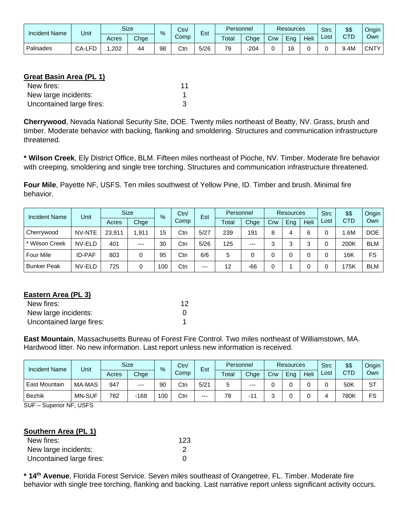| <b>Incident Name</b> | Unit              |       | <b>Size</b> | $\%$ | Ctn/ | Est  | Personnel |      | <b>Resources</b> |          |      | <b>Strc</b> | \$\$       | Origin I |
|----------------------|-------------------|-------|-------------|------|------|------|-----------|------|------------------|----------|------|-------------|------------|----------|
|                      |                   | Acres | Chge        |      | Comp |      | Total     | Chge | Crw              | -<br>Ena | Heli | Lost        | CTD<br>◡▯◡ | Own      |
| Palisades            | EГ<br>CA-LF<br>−∟ | .202  | 44          | 98   | Ctn  | 5/26 | 79        | 204  |                  | 16       |      |             | .4M        | CNTY I   |

# **Great Basin Area (PL 1)**

| New fires:               | 11 |
|--------------------------|----|
| New large incidents:     |    |
| Uncontained large fires: |    |

**Cherrywood**, Nevada National Security Site, DOE. Twenty miles northeast of Beatty, NV. Grass, brush and timber. Moderate behavior with backing, flanking and smoldering. Structures and communication infrastructure threatened.

**\* Wilson Creek**, Ely District Office, BLM. Fifteen miles northeast of Pioche, NV. Timber. Moderate fire behavior with creeping, smoldering and single tree torching. Structures and communication infrastructure threatened.

**Four Mile**, Payette NF, USFS. Ten miles southwest of Yellow Pine, ID. Timber and brush. Minimal fire behavior.

| <b>Incident Name</b> | Unit          | <b>Size</b> |       | $\%$ | Ctn/ | Est   | Personnel |      | Resources |     |      | <b>Strc</b> | \$\$       | Origin     |
|----------------------|---------------|-------------|-------|------|------|-------|-----------|------|-----------|-----|------|-------------|------------|------------|
|                      |               | Acres       | Chge  |      | Comp |       | Total     | Chge | Crw       | Eng | Heli | Lost        | <b>CTD</b> | Own        |
| Cherrywood           | NV-NTE        | 23.911      | .911  | 15   | Ctn  | 5/27  | 239       | 191  | 8         | 4   | 6    |             | .6M        | <b>DOE</b> |
| * Wilson Creek       | NV-ELD        | 401         | $---$ | 30   | Ctn  | 5/26  | 125       | $--$ | ົ         | ≏   | ◠    |             | 200K       | <b>BLM</b> |
| <b>Four Mile</b>     | <b>ID-PAF</b> | 803         | 0     | 95   | Ctn  | 6/6   | 5         | 0    |           |     |      |             | 16K        | FS         |
| <b>Bunker Peak</b>   | NV-ELD        | 725         | 0     | 100  | Ctn  | $---$ | 12        | -66  |           |     |      |             | 175K       | <b>BLM</b> |

## **Eastern Area (PL 3)**

| New fires:               | 12 |
|--------------------------|----|
| New large incidents:     |    |
| Uncontained large fires: |    |

**East Mountain**, Massachusetts Bureau of Forest Fire Control. Two miles northeast of Williamstown, MA. Hardwood litter. No new information. Last report unless new information is received.

| <b>Incident Name</b> | Unit          |       | <b>Size</b> | $\frac{9}{6}$ | Ctn/<br>Est |      | Personnel |       | <b>Resources</b> |     |      | <b>Strc</b> | \$\$       | Origin |
|----------------------|---------------|-------|-------------|---------------|-------------|------|-----------|-------|------------------|-----|------|-------------|------------|--------|
|                      |               | Acres | Chge        |               | Comp        |      | Total     | Chge  | Crw              | Eng | Heli | Lost        | <b>CTD</b> | Own    |
| <b>East Mountain</b> | MA-MAS        | 947   | $---$       | 90            | Ctn         | 5/21 | э         | $---$ |                  |     |      |             | 50K        | ST     |
| Bezhik               | <b>MN-SUF</b> | 782   | $-168$      | 100           | Ctn         | $--$ | 78        | - 1   |                  |     |      |             | 780K       | FS     |

SUF – Superior NF, USFS

## **Southern Area (PL 1)**

| New fires:               | 123 |
|--------------------------|-----|
| New large incidents:     |     |
| Uncontained large fires: |     |

**\* 14th Avenue**, Florida Forest Service. Seven miles southeast of Orangetree, FL. Timber. Moderate fire behavior with single tree torching, flanking and backing. Last narrative report unless significant activity occurs.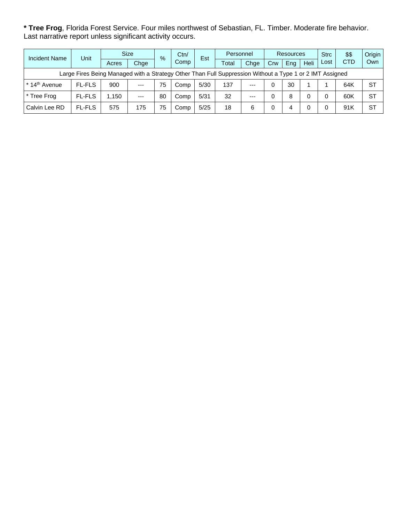**\* Tree Frog**, Florida Forest Service. Four miles northwest of Sebastian, FL. Timber. Moderate fire behavior. Last narrative report unless significant activity occurs.

| <b>Incident Name</b>                                                                                     | Unit          | <b>Size</b> |       | Ctn/<br>$\frac{9}{6}$ |      | Est  | Personnel |       |     | <b>Resources</b> |             | <b>Strc</b> | \$\$       | Origin    |
|----------------------------------------------------------------------------------------------------------|---------------|-------------|-------|-----------------------|------|------|-----------|-------|-----|------------------|-------------|-------------|------------|-----------|
|                                                                                                          |               | Acres       | Chge  |                       | Comp |      | Total     | Chge  | Crw | Eng              | <b>Heli</b> | Lost        | <b>CTD</b> | Own       |
| Large Fires Being Managed with a Strategy Other Than Full Suppression Without a Type 1 or 2 IMT Assigned |               |             |       |                       |      |      |           |       |     |                  |             |             |            |           |
| * 14 <sup>th</sup> Avenue                                                                                | <b>FL-FLS</b> | 900         | $---$ | 75                    | Comp | 5/30 | 137       | $---$ |     | 30               |             |             | 64K        | <b>ST</b> |
| * Tree Frog                                                                                              | <b>FL-FLS</b> | 1.150       | $---$ | 80                    | Comp | 5/31 | 32        | $---$ |     | 8                |             |             | 60K        | <b>ST</b> |
| Calvin Lee RD                                                                                            | <b>FL-FLS</b> | 575         | 175   | 75                    | Comp | 5/25 | 18        | 6     |     | 4                |             |             | 91K        | <b>ST</b> |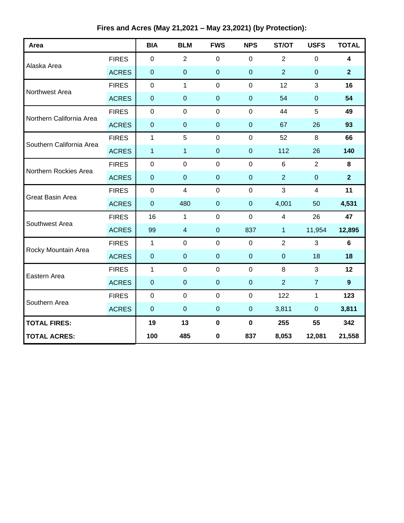**Fires and Acres (May 21,2021 – May 23,2021) (by Protection):**

| Area                     |              | <b>BIA</b>       | <b>BLM</b>              | <b>FWS</b>       | <b>NPS</b>       | ST/OT          | <b>USFS</b>             | <b>TOTAL</b>            |
|--------------------------|--------------|------------------|-------------------------|------------------|------------------|----------------|-------------------------|-------------------------|
| Alaska Area              | <b>FIRES</b> | $\pmb{0}$        | 2                       | $\mathbf 0$      | $\mathbf 0$      | $\overline{2}$ | $\mathbf 0$             | $\overline{\mathbf{4}}$ |
|                          | <b>ACRES</b> | $\pmb{0}$        | $\boldsymbol{0}$        | $\boldsymbol{0}$ | $\pmb{0}$        | $\overline{2}$ | $\pmb{0}$               | $\overline{2}$          |
| Northwest Area           | <b>FIRES</b> | $\mathbf 0$      | $\mathbf{1}$            | $\mathbf 0$      | $\mathbf 0$      | 12             | 3                       | 16                      |
|                          | <b>ACRES</b> | $\pmb{0}$        | $\mathbf 0$             | $\overline{0}$   | $\boldsymbol{0}$ | 54             | $\boldsymbol{0}$        | 54                      |
| Northern California Area | <b>FIRES</b> | $\pmb{0}$        | $\mathbf 0$             | $\mathbf 0$      | $\mathbf 0$      | 44             | 5                       | 49                      |
|                          | <b>ACRES</b> | $\pmb{0}$        | $\mathbf 0$             | $\pmb{0}$        | $\pmb{0}$        | 67             | 26                      | 93                      |
| Southern California Area | <b>FIRES</b> | $\mathbf{1}$     | 5                       | $\mathbf 0$      | $\mathbf 0$      | 52             | 8                       | 66                      |
|                          | <b>ACRES</b> | $\mathbf{1}$     | $\mathbf 1$             | $\pmb{0}$        | $\boldsymbol{0}$ | 112            | 26                      | 140                     |
| Northern Rockies Area    | <b>FIRES</b> | $\pmb{0}$        | $\mathbf 0$             | $\mathbf 0$      | $\mathbf 0$      | $6\phantom{1}$ | $\overline{2}$          | 8                       |
|                          | <b>ACRES</b> | $\pmb{0}$        | $\pmb{0}$               | $\mathbf 0$      | $\boldsymbol{0}$ | 2              | $\pmb{0}$               | $\overline{2}$          |
| <b>Great Basin Area</b>  | <b>FIRES</b> | $\mathbf 0$      | $\overline{\mathbf{4}}$ | $\overline{0}$   | $\mathbf 0$      | 3              | $\overline{\mathbf{4}}$ | 11                      |
|                          | <b>ACRES</b> | $\boldsymbol{0}$ | 480                     | $\overline{0}$   | $\boldsymbol{0}$ | 4,001          | 50                      | 4,531                   |
| Southwest Area           | <b>FIRES</b> | 16               | $\mathbf{1}$            | $\mathbf 0$      | $\mathbf 0$      | $\overline{4}$ | 26                      | 47                      |
|                          | <b>ACRES</b> | 99               | $\overline{\mathbf{4}}$ | $\pmb{0}$        | 837              | $\overline{1}$ | 11,954                  | 12,895                  |
| Rocky Mountain Area      | <b>FIRES</b> | 1                | $\mathbf 0$             | $\mathbf 0$      | $\mathbf 0$      | $\overline{2}$ | 3                       | $6\phantom{a}$          |
|                          | <b>ACRES</b> | $\pmb{0}$        | $\pmb{0}$               | $\mathbf 0$      | $\boldsymbol{0}$ | $\overline{0}$ | 18                      | 18                      |
| Eastern Area             | <b>FIRES</b> | $\mathbf{1}$     | $\mathbf 0$             | $\mathbf 0$      | $\mathbf 0$      | 8              | 3                       | 12                      |
|                          | <b>ACRES</b> | $\pmb{0}$        | $\mathbf 0$             | $\boldsymbol{0}$ | $\boldsymbol{0}$ | $\overline{2}$ | $\overline{7}$          | $\boldsymbol{9}$        |
| Southern Area            | <b>FIRES</b> | $\mathbf 0$      | $\mathbf 0$             | $\overline{0}$   | $\overline{0}$   | 122            | $\mathbf{1}$            | 123                     |
|                          | <b>ACRES</b> | $\boldsymbol{0}$ | $\mathbf 0$             | $\mathbf 0$      | $\pmb{0}$        | 3,811          | $\mathbf 0$             | 3,811                   |
| <b>TOTAL FIRES:</b>      |              | 19               | 13                      | $\mathbf 0$      | $\pmb{0}$        | 255            | 55                      | 342                     |
| <b>TOTAL ACRES:</b>      |              | 100              | 485                     | $\pmb{0}$        | 837              | 8,053          | 12,081                  | 21,558                  |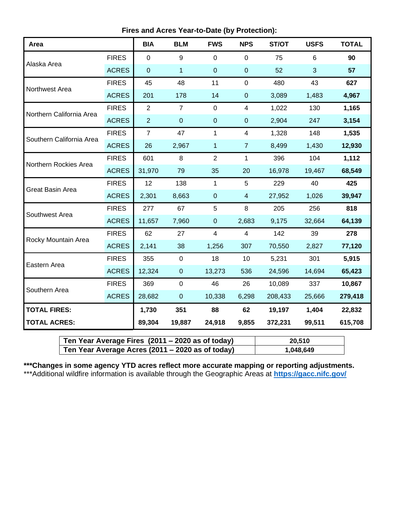**Fires and Acres Year-to-Date (by Protection):**

| Area                     |              | <b>BIA</b>     | <b>BLM</b>     | <b>FWS</b>     | <b>NPS</b>     | ST/OT   | <b>USFS</b> | <b>TOTAL</b> |
|--------------------------|--------------|----------------|----------------|----------------|----------------|---------|-------------|--------------|
| Alaska Area              | <b>FIRES</b> | $\overline{0}$ | 9              | $\mathbf 0$    | $\overline{0}$ | 75      | 6           | 90           |
|                          | <b>ACRES</b> | $\mathbf 0$    | $\mathbf{1}$   | $\pmb{0}$      | $\pmb{0}$      | 52      | 3           | 57           |
| Northwest Area           | <b>FIRES</b> | 45             | 48             | 11             | $\mathbf 0$    | 480     | 43          | 627          |
|                          | <b>ACRES</b> | 201            | 178            | 14             | $\pmb{0}$      | 3,089   | 1,483       | 4,967        |
| Northern California Area | <b>FIRES</b> | $\overline{2}$ | $\overline{7}$ | 0              | 4              | 1,022   | 130         | 1,165        |
|                          | <b>ACRES</b> | $\overline{2}$ | $\mathbf 0$    | $\overline{0}$ | $\overline{0}$ | 2,904   | 247         | 3,154        |
| Southern California Area | <b>FIRES</b> | $\overline{7}$ | 47             | 1              | 4              | 1,328   | 148         | 1,535        |
|                          | <b>ACRES</b> | 26             | 2,967          | 1              | $\overline{7}$ | 8,499   | 1,430       | 12,930       |
| Northern Rockies Area    | <b>FIRES</b> | 601            | 8              | $\overline{2}$ | $\mathbf{1}$   | 396     | 104         | 1,112        |
|                          | <b>ACRES</b> | 31,970         | 79             | 35             | 20             | 16,978  | 19,467      | 68,549       |
| <b>Great Basin Area</b>  | <b>FIRES</b> | 12             | 138            | $\mathbf{1}$   | 5              | 229     | 40          | 425          |
|                          | <b>ACRES</b> | 2,301          | 8,663          | $\mathbf 0$    | $\overline{4}$ | 27,952  | 1,026       | 39,947       |
| Southwest Area           | <b>FIRES</b> | 277            | 67             | 5              | 8              | 205     | 256         | 818          |
|                          | <b>ACRES</b> | 11,657         | 7,960          | $\mathbf 0$    | 2,683          | 9,175   | 32,664      | 64,139       |
| Rocky Mountain Area      | <b>FIRES</b> | 62             | 27             | $\overline{4}$ | $\overline{4}$ | 142     | 39          | 278          |
|                          | <b>ACRES</b> | 2,141          | 38             | 1,256          | 307            | 70,550  | 2,827       | 77,120       |
| Eastern Area             | <b>FIRES</b> | 355            | $\mathbf 0$    | 18             | 10             | 5,231   | 301         | 5,915        |
|                          | <b>ACRES</b> | 12,324         | $\overline{0}$ | 13,273         | 536            | 24,596  | 14,694      | 65,423       |
| Southern Area            | <b>FIRES</b> | 369            | $\mathbf 0$    | 46             | 26             | 10,089  | 337         | 10,867       |
|                          | <b>ACRES</b> | 28,682         | $\pmb{0}$      | 10,338         | 6,298          | 208,433 | 25,666      | 279,418      |
| <b>TOTAL FIRES:</b>      |              | 1,730          | 351            | 88             | 62             | 19,197  | 1,404       | 22,832       |
| <b>TOTAL ACRES:</b>      |              | 89,304         | 19,887         | 24,918         | 9,855          | 372,231 | 99,511      | 615,708      |

| Ten Year Average Fires (2011 – 2020 as of today) | 20,510    |
|--------------------------------------------------|-----------|
| Ten Year Average Acres (2011 – 2020 as of today) | 1,048,649 |

**\*\*\*Changes in some agency YTD acres reflect more accurate mapping or reporting adjustments.** \*\*\*Additional wildfire information is available through the Geographic Areas at **<https://gacc.nifc.gov/>**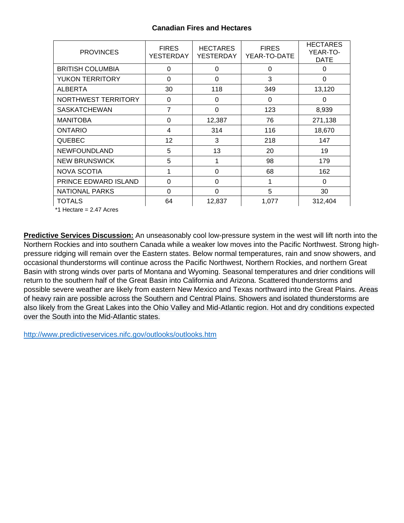## **Canadian Fires and Hectares**

| <b>PROVINCES</b>        | <b>FIRES</b><br><b>YESTERDAY</b> | <b>HECTARES</b><br>YESTERDAY | <b>FIRES</b><br>YEAR-TO-DATE | <b>HECTARES</b><br>YEAR-TO-<br><b>DATE</b> |
|-------------------------|----------------------------------|------------------------------|------------------------------|--------------------------------------------|
| <b>BRITISH COLUMBIA</b> | 0                                | 0                            | 0                            | $\Omega$                                   |
| <b>YUKON TERRITORY</b>  | 0                                | 0                            | 3                            | $\mathbf 0$                                |
| ALBERTA                 | 30                               | 118                          | 349                          | 13,120                                     |
| NORTHWEST TERRITORY     | 0                                | 0                            | $\Omega$                     | $\Omega$                                   |
| <b>SASKATCHEWAN</b>     | 7                                | 0                            | 123                          | 8,939                                      |
| <b>MANITOBA</b>         | 0                                | 12,387                       | 76                           | 271,138                                    |
| <b>ONTARIO</b>          | 4                                | 314                          | 116                          | 18,670                                     |
| <b>QUEBEC</b>           | 12                               | 3                            | 218                          | 147                                        |
| <b>NEWFOUNDLAND</b>     | 5                                | 13                           | 20                           | 19                                         |
| <b>NEW BRUNSWICK</b>    | 5                                | 1                            | 98                           | 179                                        |
| <b>NOVA SCOTIA</b>      | 1                                | $\Omega$                     | 68                           | 162                                        |
| PRINCE EDWARD ISLAND    | 0                                | 0                            | 1                            | 0                                          |
| <b>NATIONAL PARKS</b>   | 0                                | 0                            | 5                            | 30                                         |
| <b>TOTALS</b>           | 64                               | 12,837                       | 1,077                        | 312,404                                    |

\*1 Hectare = 2.47 Acres

**Predictive Services Discussion:** An unseasonably cool low-pressure system in the west will lift north into the Northern Rockies and into southern Canada while a weaker low moves into the Pacific Northwest. Strong highpressure ridging will remain over the Eastern states. Below normal temperatures, rain and snow showers, and occasional thunderstorms will continue across the Pacific Northwest, Northern Rockies, and northern Great Basin with strong winds over parts of Montana and Wyoming. Seasonal temperatures and drier conditions will return to the southern half of the Great Basin into California and Arizona. Scattered thunderstorms and possible severe weather are likely from eastern New Mexico and Texas northward into the Great Plains. Areas of heavy rain are possible across the Southern and Central Plains. Showers and isolated thunderstorms are also likely from the Great Lakes into the Ohio Valley and Mid-Atlantic region. Hot and dry conditions expected over the South into the Mid-Atlantic states.

<http://www.predictiveservices.nifc.gov/outlooks/outlooks.htm>